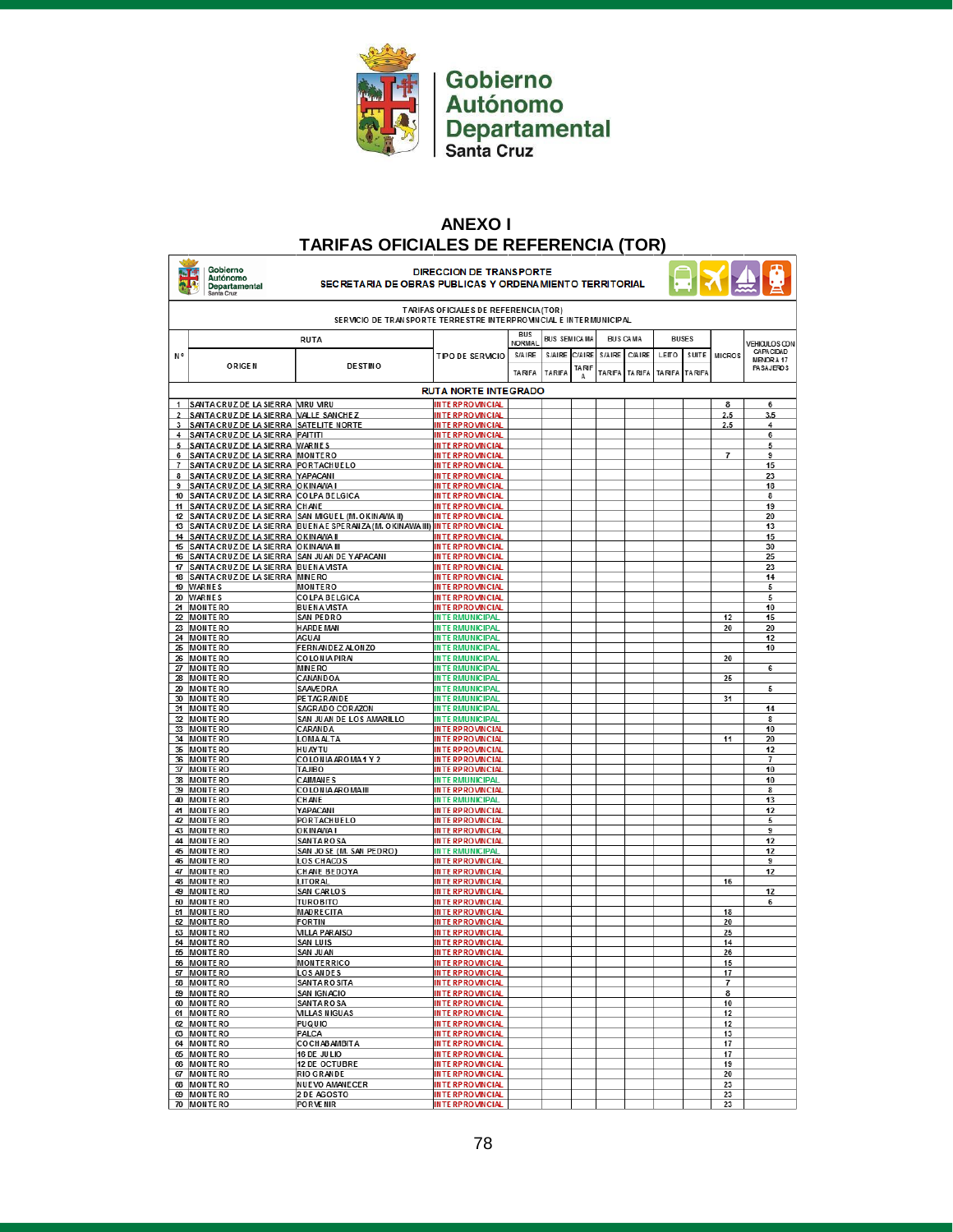

## **ANEXO I TARIFAS OFICIALES DE REFERENCIA (TOR)**

|                                                                                                            | Gobierno<br>M#<br><b>Autónomo</b><br>п<br><b>Departamental</b><br>Santa Cruz | SECRETARIA DE OBRAS PUBLICAS Y ORDENAMIENTO TERRITORIAL | <b>DIRECCION DE TRANSPORTE</b>                     |                      |                     |               |        |                                 |                |               |                         |                                      |
|------------------------------------------------------------------------------------------------------------|------------------------------------------------------------------------------|---------------------------------------------------------|----------------------------------------------------|----------------------|---------------------|---------------|--------|---------------------------------|----------------|---------------|-------------------------|--------------------------------------|
| TARIFAS OFICIALES DE REFERENCIA (TOR)<br>SERVICIO DE TRANSPORTE TERRESTRE INTERPROVINCIAL E INTERMUNICIPAL |                                                                              |                                                         |                                                    |                      |                     |               |        |                                 |                |               |                         |                                      |
|                                                                                                            |                                                                              | <b>RUTA</b>                                             |                                                    | <b>BUS</b><br>NORMAL | <b>BUS SEMICAMA</b> |               |        | <b>BUS CAMA</b><br><b>BUSES</b> |                |               |                         | VEHICULOS CON                        |
| N۰                                                                                                         | <b>ORIGEN</b>                                                                |                                                         | TIPO DE SERVICIO                                   | S/A IRE              | S/AIRE              | <b>C/AIRE</b> | S/AIRE | C/A IRE                         | LEITO          | SUITE         | <b>MICROS</b>           | <b>CAPACIDAD</b><br><b>MENORA 17</b> |
|                                                                                                            |                                                                              | <b>DESTINO</b>                                          |                                                    | <b>TA RIFA</b>       | TARIFA              | ta Rif<br>А   | TARIFA | <b>TA RIFA</b>                  | <b>TA RIFA</b> | <b>TARIFA</b> |                         | PA SAJEROS                           |
|                                                                                                            | <b>RUTA NORTE INTEGRADO</b>                                                  |                                                         |                                                    |                      |                     |               |        |                                 |                |               |                         |                                      |
| 1                                                                                                          | SANTA CRUZ DE LA SIERRA VIRU VIRU                                            |                                                         | <b>INTE RPROVINCIAL</b>                            |                      |                     |               |        |                                 |                |               | 8                       | 6                                    |
| $\overline{2}$                                                                                             | SANTA CRUZ DE LA SIERRA VALLE SANCHEZ<br>SANTACRUZDE LA SIERRA               | <b>SATELITE NORTE</b>                                   | INTE RPROVINCIAL                                   |                      |                     |               |        |                                 |                |               | 2.5                     | 3.5<br>4                             |
| 3<br>4                                                                                                     | SANTACRUZDE LA SIERRA PAITITI                                                |                                                         | IN TE RPROVINCIAL<br><b>INTE RPROVINCIAL</b>       |                      |                     |               |        |                                 |                |               | 2.5                     | 6                                    |
| 5                                                                                                          | SANTACRUZDE LA SIERRA                                                        | <b>WARNES</b>                                           | <u>IN TE RPRO VINCIAL</u>                          |                      |                     |               |        |                                 |                |               |                         | 5                                    |
| 6                                                                                                          | SANTA CRUZ DE LA SIERRA                                                      | MONTERO                                                 | IN TE RPRO VINCIAL                                 |                      |                     |               |        |                                 |                |               | 7                       | 9                                    |
| 7                                                                                                          | SANTA CRUZ DE LA SIERRA PORTACHUELO                                          |                                                         | <b>INTE RPROVINCIAL</b>                            |                      |                     |               |        |                                 |                |               |                         | 15                                   |
| 8<br>9                                                                                                     | SANTA CRUZ DE LA SIERRA YAPACANI<br>SANTA CRUZ DE LA SIERRA OKINAWA I        |                                                         | INTE RPROVINCIAL<br>IN TE RPRO VINCIAL             |                      |                     |               |        |                                 |                |               |                         | 23<br>18                             |
| 10                                                                                                         | SANTA CRUZ DE LA SIERRA                                                      | <b>COLPA BELGICA</b>                                    | IN TE RPROVINCIAL                                  |                      |                     |               |        |                                 |                |               |                         | 8                                    |
| 11                                                                                                         | <u>SANTA CRUZ DE LA SIERRA</u>                                               | CHANE                                                   | <u>IN TE RPRO VINCIAL</u>                          |                      |                     |               |        |                                 |                |               |                         | 19                                   |
| 12                                                                                                         | SANTA CRUZ DE LA SIERRA                                                      | SAN MIGUEL (M. OKINAWA II)                              | IN TE RPRO VINCIAL                                 |                      |                     |               |        |                                 |                |               |                         | 20                                   |
| 13<br>14                                                                                                   | SANTA CRUZ DE LA SIERRA<br>SANTACRUZDE LA SIERRA                             | BUENAE SPERANZA (M. OKINAWA III)<br><b>OKINAWAII</b>    | <b>INTE RPROVINCIAL</b><br><u>INTE RPROVINCIAL</u> |                      |                     |               |        |                                 |                |               |                         | 13<br>15                             |
| 15                                                                                                         | SANTA CRUZ DE LA SIERRA                                                      | <b>OKINAWA III</b>                                      | IN TE RPRO VINCIAL                                 |                      |                     |               |        |                                 |                |               |                         | 30                                   |
| 16                                                                                                         | SANTA CRUZ DE LA SIERRA                                                      | SAN JUAN DE YAPACANI                                    | INTE RPROVINCIAL                                   |                      |                     |               |        |                                 |                |               |                         | 25                                   |
| 17                                                                                                         | SANTA CRUZ DE LA SIERRA                                                      | <b>BUENAVISTA</b>                                       | INTE RPROVINCIAL                                   |                      |                     |               |        |                                 |                |               |                         | 23                                   |
| 18                                                                                                         | SANTACRUZDE LA SIERRA                                                        | <b>MINE RO</b>                                          | <b>INTE RPROVINCIAL</b>                            |                      |                     |               |        |                                 |                |               |                         | 14                                   |
| 19                                                                                                         | <b>WARNES</b>                                                                | MONTERO                                                 | IN TE RPRO VINCIAL                                 |                      |                     |               |        |                                 |                |               |                         | 5                                    |
| 20<br>21                                                                                                   | <b>WARNES</b><br><b>MONTE RO</b>                                             | <b>COLPA BELGICA</b><br><b>BUENAVISTA</b>               | IN TE RPROVINCIAL<br><b>INTERPROVINCIAL</b>        |                      |                     |               |        |                                 |                |               |                         | 5<br>10                              |
| 22                                                                                                         | <b>MONTE RO</b>                                                              | SAN PEDRO                                               | IN TE RMU NICIPAL                                  |                      |                     |               |        |                                 |                |               | 12                      | 15                                   |
| 23                                                                                                         | <b>MONTE RO</b>                                                              | <b>HARDE MAN</b>                                        | IN TE RMU NICIPAL                                  |                      |                     |               |        |                                 |                |               | 20                      | 20                                   |
| 24                                                                                                         | <b>MONTE RO</b>                                                              | AGUAI                                                   | INTE RMUNICIPAL                                    |                      |                     |               |        |                                 |                |               |                         | 12                                   |
| 25                                                                                                         | <b>MONTE RO</b>                                                              | <b>FERNANDEZ ALONZO</b>                                 | INTE RMUNICIPAL                                    |                      |                     |               |        |                                 |                |               |                         | 10                                   |
| 26<br>27                                                                                                   | <b>MONTE RO</b><br><b>MONTE RO</b>                                           | <b>COLONIA PIRA</b><br><b>MINE RO</b>                   | INTE RMUNICIPAL<br><b>INTE RMUNICIPAL</b>          |                      |                     |               |        |                                 |                |               | 20                      | 6                                    |
| 28                                                                                                         | <b>MONTE RO</b>                                                              | CANANDOA                                                | INTE RMUNICIPAL                                    |                      |                     |               |        |                                 |                |               | 25                      |                                      |
| 29                                                                                                         | <b>MONTERO</b>                                                               | SAAVEDRA                                                | INTE RMUNICIPAL                                    |                      |                     |               |        |                                 |                |               |                         | 5                                    |
| 30                                                                                                         | <b>MONTE RO</b>                                                              | <b>PETAGRANDE</b>                                       | INTE RMUNICIPAL                                    |                      |                     |               |        |                                 |                |               | 31                      |                                      |
| 31                                                                                                         | <b>MONTERO</b>                                                               | <b>SAGRADO CORAZON</b>                                  | INTE RMUNICIPAL                                    |                      |                     |               |        |                                 |                |               |                         | 14                                   |
| 32<br>33                                                                                                   | <b>MONTE RO</b><br><b>MONTE RO</b>                                           | SAN JUAN DE LOS AMARILLO<br>CARANDA                     | INTE RMUNICIPAL<br>INTE RPROVINCIAL                |                      |                     |               |        |                                 |                |               |                         | 8<br>10                              |
| 34                                                                                                         | <b>MONTE RO</b>                                                              | <b>LOMAALTA</b>                                         | IN TE RPRO VINCIAL                                 |                      |                     |               |        |                                 |                |               | 11                      | 20                                   |
| 35                                                                                                         | <b>MONTERO</b>                                                               | HUAYTU                                                  | IN TE RPRO VINCIAI                                 |                      |                     |               |        |                                 |                |               |                         | 12                                   |
| 36                                                                                                         | <b>MONTE RO</b>                                                              | COLONIA AROMA 1 Y 2                                     | IN TE RPRO VINCIAI                                 |                      |                     |               |        |                                 |                |               |                         | 7                                    |
| 37                                                                                                         | <b>MONTE RO</b>                                                              | <b>TAJIBO</b>                                           | IN TE RPRO VINCIAI                                 |                      |                     |               |        |                                 |                |               |                         | 10                                   |
| 38<br>39                                                                                                   | <b>MONTERO</b><br><b>MONTE RO</b>                                            | <b>CAIMANES</b><br><b>COLONIA AROMA III</b>             | <b>INTERMUNICIPAL</b><br>IN TE RPRO VINCIAI        |                      |                     |               |        |                                 |                |               |                         | 10<br>8                              |
| 40                                                                                                         | <b>MONTERO</b>                                                               | CHANE                                                   | INTE RMUNICIPAL                                    |                      |                     |               |        |                                 |                |               |                         | 13                                   |
| 41                                                                                                         | <b>MONTE RO</b>                                                              | YAPACANI                                                | IN TE RPRO VINCIAI                                 |                      |                     |               |        |                                 |                |               |                         | 12                                   |
| 42                                                                                                         | <b>MONTERO</b>                                                               | PORTACHUELO                                             | <b>INTE RPROVINCIAL</b>                            |                      |                     |               |        |                                 |                |               |                         | 5                                    |
| 43                                                                                                         | <b>MONTERO</b>                                                               | <b>OKINAWAI</b>                                         | IN TE RPROVINCIAL                                  |                      |                     |               |        |                                 |                |               |                         | 9                                    |
| 44<br>45                                                                                                   | <b>MONTE RO</b><br><b>MONTERO</b>                                            | <b>SANTAROSA</b><br>SAN JOSE (M. SAN PEDRO)             | IN TE RPRO VINCIAL<br><b>INTE RMUNICIPAL</b>       |                      |                     |               |        |                                 |                |               |                         | 12<br>12                             |
| 46                                                                                                         | <b>MONTERO</b>                                                               | <b>LOS CHACOS</b>                                       | <b>INTE RPROVINCIAL</b>                            |                      |                     |               |        |                                 |                |               |                         | 9                                    |
| 47                                                                                                         | <b>MONTERO</b>                                                               | <b>CHANE BEDOYA</b>                                     | IN TE RPRO VINCIAL                                 |                      |                     |               |        |                                 |                |               |                         | 12                                   |
| 48                                                                                                         | <b>MONTE RO</b>                                                              | LITORAL                                                 | IN TE RPRO VINCIAL                                 |                      |                     |               |        |                                 |                |               | 16                      |                                      |
| 49                                                                                                         | <b>MONTE RO</b>                                                              | SAN CARLOS                                              | INTE RPROVINCIAL                                   |                      |                     |               |        |                                 |                |               |                         | 12                                   |
| 50<br>51                                                                                                   | <b>MONTE RO</b><br><b>MONTE RO</b>                                           | TUROBITO<br>MADRECITA                                   | IN TE RPRO VINCIAL<br><b>INTE RPROVINCIAL</b>      |                      |                     |               |        |                                 |                |               | 18                      | 6                                    |
| 52                                                                                                         | <b>MONTE RO</b>                                                              | <b>FORTIN</b>                                           | INTE RPROVINCIAL                                   |                      |                     |               |        |                                 |                |               | 20                      |                                      |
| 53                                                                                                         | <b>MONTE RO</b>                                                              | VILLA PARAISO                                           | IN TE RPROVINCIAL                                  |                      |                     |               |        |                                 |                |               | 25                      |                                      |
| 54                                                                                                         | <b>MONTERO</b>                                                               | <b>SAN LUIS</b>                                         | <b>INTE RPROVINCIAL</b>                            |                      |                     |               |        |                                 |                |               | 14                      |                                      |
| 55                                                                                                         | <b>MONTERO</b>                                                               | SAN JUAN                                                | <b>INTE RPROVINCIAL</b>                            |                      |                     |               |        |                                 |                |               | 26                      |                                      |
|                                                                                                            | 56 MONTERO<br>57 MONTE RO                                                    | MONTERRICO<br>LOS ANDES                                 | <b>INTERPROVINCIAL</b><br>INTE RPROVINCIAL         |                      |                     |               |        |                                 |                |               | 15<br>17                |                                      |
|                                                                                                            | 58 MONTERO                                                                   | SANTA ROSITA                                            | <b>INTE RPROVINCIAL</b>                            |                      |                     |               |        |                                 |                |               | $\overline{\mathbf{r}}$ |                                      |
|                                                                                                            | 59 MONTERO                                                                   | SAN IGNACIO                                             | <b>INTE RPROVINCIAL</b>                            |                      |                     |               |        |                                 |                |               | 8                       |                                      |
|                                                                                                            | 60 MONTERO                                                                   | SANTARO SA                                              | <b>INTE RPROVINCIAL</b>                            |                      |                     |               |        |                                 |                |               | 10                      |                                      |
|                                                                                                            | 61 MONTE RO                                                                  | VILLAS NIGUAS                                           | INTE RPROVINCIAL                                   |                      |                     |               |        |                                 |                |               | 12                      |                                      |
|                                                                                                            | 62 MONTERO<br>63 MONTERO                                                     | PUQUIO<br>PALCA                                         | <b>INTE RPROVINCIAL</b><br><b>INTE RPROVINCIAL</b> |                      |                     |               |        |                                 |                |               | 12<br>13                |                                      |
|                                                                                                            | 64 MONTERO                                                                   | <b>COCHABAMBITA</b>                                     | INTE RPROVINCIAL                                   |                      |                     |               |        |                                 |                |               | 17                      |                                      |
|                                                                                                            | 65 MONTE RO                                                                  | 16 DE JULIO                                             | <b>INTE RPROVINCIAL</b>                            |                      |                     |               |        |                                 |                |               | 17                      |                                      |
|                                                                                                            | 66 MONTERO                                                                   | <b>12 DE OCTUBRE</b>                                    | INTE RPROVINCIAL                                   |                      |                     |               |        |                                 |                |               | 19                      |                                      |
|                                                                                                            | 67 MONTERO                                                                   | RIO GRANDE                                              | INTE RPROVINCIAL                                   |                      |                     |               |        |                                 |                |               | 20                      |                                      |
|                                                                                                            | 68 MONTERO<br>69 MONTERO                                                     | <b>NUEVO AMANECER</b><br>2 DE AGOSTO                    | <b>INTE RPROVINCIAL</b><br><b>INTE RPROVINCIAL</b> |                      |                     |               |        |                                 |                |               | 23<br>23                |                                      |
|                                                                                                            | 70 MONTERO                                                                   | <b>PORVENIR</b>                                         | <b>IN TE RPROVINCIAL</b>                           |                      |                     |               |        |                                 |                |               | 23                      |                                      |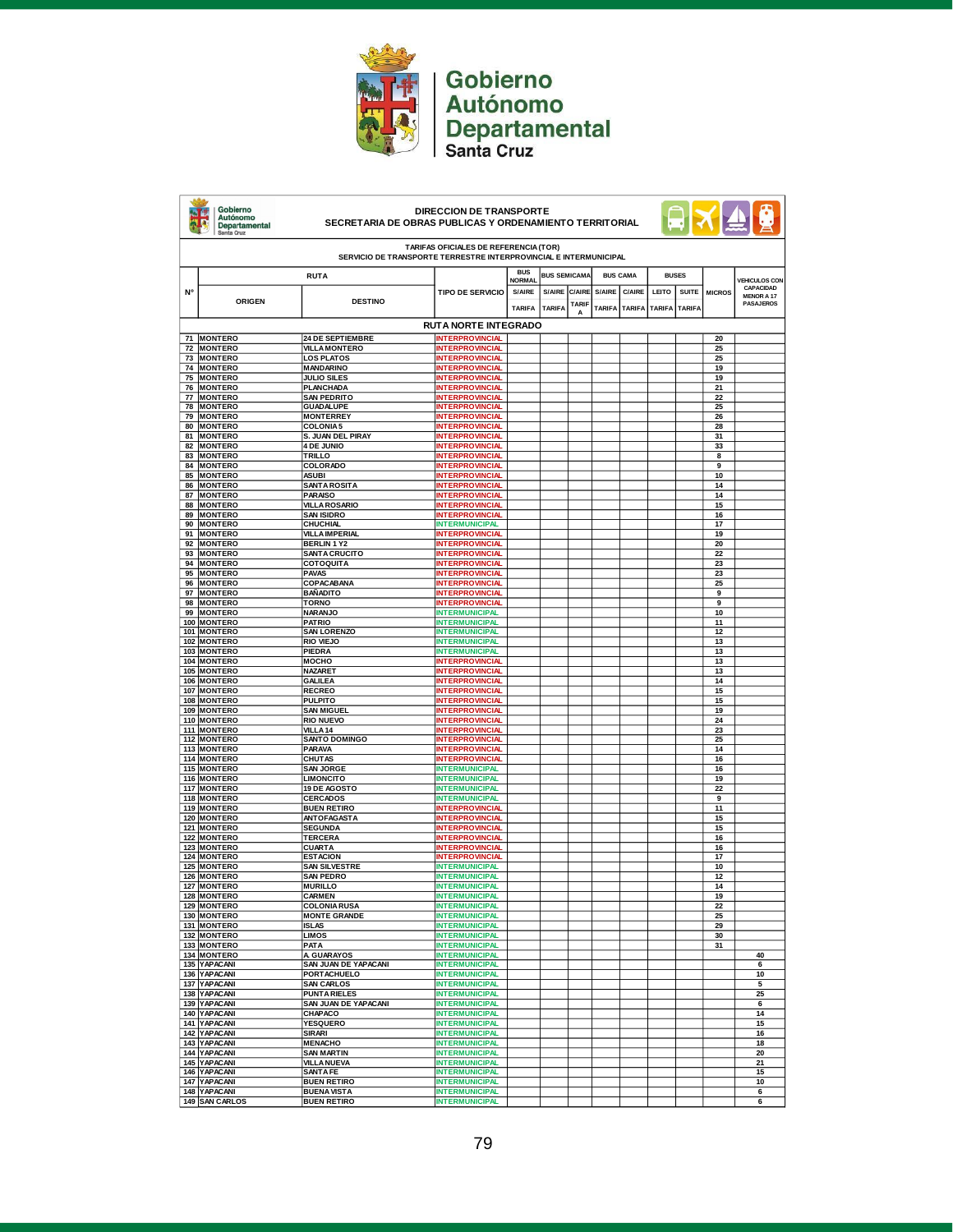

| a                                                                                                                 | Gobierno<br><b>Autónomo</b><br>Departamental<br>Santa Cruz | SECRETARIA DE OBRAS PUBLICAS Y ORDENAMIENTO TERRITORIAL | <b>DIRECCION DE TRANSPORTE</b>                   |               |                 |                               |               |               |               |                      |               |                                                    |
|-------------------------------------------------------------------------------------------------------------------|------------------------------------------------------------|---------------------------------------------------------|--------------------------------------------------|---------------|-----------------|-------------------------------|---------------|---------------|---------------|----------------------|---------------|----------------------------------------------------|
| <b>TARIFAS OFICIALES DE REFERENCIA (TOR)</b><br>SERVICIO DE TRANSPORTE TERRESTRE INTERPROVINCIAL E INTERMUNICIPAL |                                                            |                                                         |                                                  |               |                 |                               |               |               |               |                      |               |                                                    |
|                                                                                                                   |                                                            |                                                         | <b>BUS</b><br><b>BUS SEMICAMA</b><br>NORMAL      |               | <b>BUS CAMA</b> |                               | <b>BUSES</b>  |               |               | <b>VEHICULOS CON</b> |               |                                                    |
| N°                                                                                                                | <b>ORIGEN</b>                                              | <b>DESTINO</b>                                          | <b>TIPO DE SERVICIO</b>                          | S/AIRE        | S/AIRE          | <b>C/AIRE</b><br><b>TARIF</b> | S/AIRE        | <b>C/AIRE</b> | LEITO         | <b>SUITE</b>         | <b>MICROS</b> | CAPACIDAD<br><b>MENOR A 17</b><br><b>PASAJEROS</b> |
|                                                                                                                   |                                                            |                                                         |                                                  | <b>TARIFA</b> | <b>TARIFA</b>   |                               | <b>TARIFA</b> | <b>TARIFA</b> | <b>TARIFA</b> | <b>TARIFA</b>        |               |                                                    |
| 71                                                                                                                | <b>MONTERO</b>                                             | <b>RUTA NORTE INTEGRADO</b><br><b>INTERPROVINCIAL</b>   |                                                  |               |                 |                               |               |               |               | 20                   |               |                                                    |
| 72                                                                                                                | <b>MONTERO</b>                                             | <b>24 DE SEPTIEMBRE</b><br><b>VILLA MONTERO</b>         | <b>INTERPROVINCIAL</b>                           |               |                 |                               |               |               |               |                      | 25            |                                                    |
| 73                                                                                                                | <b>MONTERO</b>                                             | <b>LOS PLATOS</b>                                       | INTERPROVINCIAL                                  |               |                 |                               |               |               |               |                      | 25            |                                                    |
| 74<br>75                                                                                                          | <b>MONTERO</b><br><b>MONTERO</b>                           | <b>MANDARINO</b><br><b>JULIO SILES</b>                  | <b>INTERPROVINCIAL</b><br><b>INTERPROVINCIAL</b> |               |                 |                               |               |               |               |                      | 19<br>19      |                                                    |
| 76                                                                                                                | <b>MONTERO</b>                                             | <b>PLANCHADA</b>                                        | <b>INTERPROVINCIAL</b>                           |               |                 |                               |               |               |               |                      | 21            |                                                    |
| 77<br>78                                                                                                          | <b>MONTERO</b><br><b>MONTERO</b>                           | <b>SAN PEDRITO</b><br><b>GUADALUPE</b>                  | <b>INTERPROVINCIAL</b><br><b>INTERPROVINCIAL</b> |               |                 |                               |               |               |               |                      | 22<br>25      |                                                    |
| 79                                                                                                                | <b>MONTERO</b>                                             | <b>MONTERREY</b>                                        | INTERPROVINCIAL                                  |               |                 |                               |               |               |               |                      | 26            |                                                    |
| 80<br>81                                                                                                          | <b>MONTERO</b>                                             | <b>COLONIA5</b>                                         | <b>INTERPROVINCIAL</b>                           |               |                 |                               |               |               |               |                      | 28            |                                                    |
| 82                                                                                                                | <b>MONTERO</b><br><b>MONTERO</b>                           | S. JUAN DEL PIRAY<br>4 DE JUNIO                         | <b>INTERPROVINCIAL</b><br><b>INTERPROVINCIAL</b> |               |                 |                               |               |               |               |                      | 31<br>33      |                                                    |
| 83                                                                                                                | <b>MONTERO</b>                                             | <b>TRILLO</b>                                           | <b>INTERPROVINCIAL</b>                           |               |                 |                               |               |               |               |                      | 8             |                                                    |
| 84<br>85                                                                                                          | <b>MONTERO</b><br><b>MONTERO</b>                           | <b>COLORADO</b><br>ASUBI                                | <b>INTERPROVINCIAL</b><br><b>INTERPROVINCIAL</b> |               |                 |                               |               |               |               |                      | 9<br>10       |                                                    |
| 86                                                                                                                | <b>MONTERO</b>                                             | <b>SANTA ROSITA</b>                                     | <b>INTERPROVINCIAL</b>                           |               |                 |                               |               |               |               |                      | 14            |                                                    |
| 87<br>88                                                                                                          | <b>MONTERO</b>                                             | <b>PARAISO</b>                                          | <b>INTERPROVINCIAL</b>                           |               |                 |                               |               |               |               |                      | 14            |                                                    |
| 89                                                                                                                | <b>MONTERO</b><br><b>MONTERO</b>                           | <b>VILLA ROSARIO</b><br><b>SAN ISIDRO</b>               | INTERPROVINCIAL<br>INTERPROVINCIAL               |               |                 |                               |               |               |               |                      | 15<br>16      |                                                    |
| 90                                                                                                                | <b>MONTERO</b>                                             | <b>CHUCHIAL</b>                                         | <b>INTERMUNICIPAL</b>                            |               |                 |                               |               |               |               |                      | 17            |                                                    |
| 91<br>92                                                                                                          | <b>MONTERO</b><br><b>MONTERO</b>                           | <b>VILLA IMPERIAL</b><br><b>BERLIN1Y2</b>               | <b>INTERPROVINCIAL</b><br><b>INTERPROVINCIAL</b> |               |                 |                               |               |               |               |                      | 19<br>20      |                                                    |
| 93                                                                                                                | <b>MONTERO</b>                                             | <b>SANTA CRUCITO</b>                                    | <b>INTERPROVINCIAL</b>                           |               |                 |                               |               |               |               |                      | 22            |                                                    |
| 94                                                                                                                | <b>MONTERO</b>                                             | <b>COTOQUITA</b>                                        | <b>INTERPROVINCIAL</b>                           |               |                 |                               |               |               |               |                      | 23            |                                                    |
| 95<br>96                                                                                                          | <b>MONTERO</b><br><b>MONTERO</b>                           | <b>PAVAS</b><br>COPACABANA                              | <b>INTERPROVINCIAL</b><br><b>INTERPROVINCIAL</b> |               |                 |                               |               |               |               |                      | 23<br>25      |                                                    |
| 97                                                                                                                | <b>MONTERO</b>                                             | <b>BAÑADITO</b>                                         | <b>INTERPROVINCIAL</b>                           |               |                 |                               |               |               |               |                      | 9             |                                                    |
| 98                                                                                                                | <b>MONTERO</b>                                             | <b>TORNO</b><br><b>NARANJO</b>                          | <b>INTERPROVINCIAL</b>                           |               |                 |                               |               |               |               |                      | 9             |                                                    |
| 99<br>100                                                                                                         | <b>MONTERO</b><br><b>MONTERO</b>                           | <b>PATRIO</b>                                           | <b>INTERMUNICIPAL</b><br><b>INTERMUNICIPAL</b>   |               |                 |                               |               |               |               |                      | 10<br>11      |                                                    |
| 101                                                                                                               | <b>MONTERO</b>                                             | <b>SAN LORENZO</b>                                      | <b>INTERMUNICIPAL</b>                            |               |                 |                               |               |               |               |                      | 12            |                                                    |
| 102<br>103                                                                                                        | <b>MONTERO</b><br><b>MONTERO</b>                           | RIO VIEJO<br><b>PIEDRA</b>                              | <b>INTERMUNICIPAL</b><br><b>INTERMUNICIPAL</b>   |               |                 |                               |               |               |               |                      | 13<br>13      |                                                    |
| 104                                                                                                               | <b>MONTERO</b>                                             | MOCHO                                                   | <b>INTERPROVINCIAL</b>                           |               |                 |                               |               |               |               |                      | 13            |                                                    |
| 105                                                                                                               | <b>MONTERO</b>                                             | <b>NAZARET</b>                                          | <b>INTERPROVINCIAL</b>                           |               |                 |                               |               |               |               |                      | 13            |                                                    |
| 106                                                                                                               | <b>MONTERO</b><br>107 MONTERO                              | <b>GALILEA</b><br><b>RECREO</b>                         | <b>INTERPROVINCIAL</b><br><b>INTERPROVINCIAL</b> |               |                 |                               |               |               |               |                      | 14<br>15      |                                                    |
| 108                                                                                                               | <b>MONTERO</b>                                             | <b>PULPITO</b>                                          | <b>INTERPROVINCIAL</b>                           |               |                 |                               |               |               |               |                      | 15            |                                                    |
| 109                                                                                                               | <b>MONTERO</b>                                             | <b>SAN MIGUEL</b><br><b>RIO NUEVO</b>                   | <b>INTERPROVINCIAL</b>                           |               |                 |                               |               |               |               |                      | 19<br>24      |                                                    |
| 111                                                                                                               | 110 MONTERO<br><b>MONTERO</b>                              | VILLA <sub>14</sub>                                     | INTERPROVINCIAL<br><b>INTERPROVINCIAL</b>        |               |                 |                               |               |               |               |                      | 23            |                                                    |
|                                                                                                                   | 112 MONTERO                                                | <b>SANTO DOMINGO</b>                                    | <b>INTERPROVINCIAL</b>                           |               |                 |                               |               |               |               |                      | 25            |                                                    |
|                                                                                                                   | 113 MONTERO<br>114 MONTERO                                 | <b>PARAVA</b><br><b>CHUTAS</b>                          | <b>INTERPROVINCIAL</b><br><b>INTERPROVINCIAL</b> |               |                 |                               |               |               |               |                      | 14<br>16      |                                                    |
|                                                                                                                   | <b>115 MONTERO</b>                                         | <b>SAN JORGE</b>                                        | <b>INTERMUNICIPAL</b>                            |               |                 |                               |               |               |               |                      | 16            |                                                    |
| 117                                                                                                               | 116 MONTERO                                                | <b>LIMONCITO</b>                                        | <b>INTERMUNICIPAL</b>                            |               |                 |                               |               |               |               |                      | 19            |                                                    |
| 118                                                                                                               | <b>MONTERO</b><br><b>MONTERO</b>                           | 19 DE AGOSTO<br><b>CERCADOS</b>                         | <b>INTERMUNICIPAL</b><br><b>INTERMUNICIPAL</b>   |               |                 |                               |               |               |               |                      | 22<br>9       |                                                    |
| 119                                                                                                               | <b>MONTERO</b>                                             | <b>BUEN RETIRO</b>                                      | <b>INTERPROVINCIAL</b>                           |               |                 |                               |               |               |               |                      | 11            |                                                    |
| 120<br>121                                                                                                        | <b>IMONTERO</b><br><b>MONTERO</b>                          | <b>ANTOFAGASTA</b><br><b>SEGUNDA</b>                    | INTERPROVINCIAL<br><b>INTERPROVINCIAL</b>        |               |                 |                               |               |               |               |                      | 15<br>15      |                                                    |
| 122                                                                                                               | <b>MONTERO</b>                                             | <b>TERCERA</b>                                          | <b>INTERPROVINCIAL</b>                           |               |                 |                               |               |               |               |                      | 16            |                                                    |
| 123<br>124                                                                                                        | <b>MONTERO</b>                                             | <b>CUARTA</b>                                           | <b>INTERPROVINCIAL</b>                           |               |                 |                               |               |               |               |                      | 16<br>17      |                                                    |
| 125                                                                                                               | <b>MONTERO</b><br><b>MONTERO</b>                           | <b>ESTACION</b><br><b>SAN SILVESTRE</b>                 | <b>INTERPROVINCIAL</b><br><b>INTERMUNICIPAL</b>  |               |                 |                               |               |               |               |                      | 10            |                                                    |
| 126                                                                                                               | <b>MONTERO</b>                                             | <b>SAN PEDRO</b>                                        | <b>INTERMUNICIPAL</b>                            |               |                 |                               |               |               |               |                      | 12            |                                                    |
|                                                                                                                   | 127 MONTERO<br>128 MONTERU                                 | <b>MURILLO</b><br><b>CARMEN</b>                         | <b>INTERMUNICIPAL</b><br><b>INTERMUNICIPAL</b>   |               |                 |                               |               |               |               |                      | 14<br>19      |                                                    |
|                                                                                                                   | 129 MONTERO                                                | <b>COLONIA RUSA</b>                                     | <b>INTERMUNICIPAL</b>                            |               |                 |                               |               |               |               |                      | 22            |                                                    |
|                                                                                                                   | 130 MONTERO                                                | <b>MONTE GRANDE</b>                                     | <b>INTERMUNICIPAL</b>                            |               |                 |                               |               |               |               |                      | 25            |                                                    |
|                                                                                                                   | 131 MONTERO<br>132 MONTERO                                 | <b>ISLAS</b><br><b>LIMOS</b>                            | <b>INTERMUNICIPAL</b><br><b>INTERMUNICIPAL</b>   |               |                 |                               |               |               |               |                      | 29<br>30      |                                                    |
|                                                                                                                   | 133 MONTERO                                                | <b>PATA</b>                                             | <b>INTERMUNICIPAL</b>                            |               |                 |                               |               |               |               |                      | 31            |                                                    |
|                                                                                                                   | 134 MONTERO                                                | A. GUARAYOS                                             | <b>INTERMUNICIPAL</b>                            |               |                 |                               |               |               |               |                      |               | 40                                                 |
|                                                                                                                   | 135 YAPACANI<br>136 YAPACANI                               | SAN JUAN DE YAPACANI<br><b>PORTACHUELO</b>              | <b>INTERMUNICIPAL</b><br><b>INTERMUNICIPAL</b>   |               |                 |                               |               |               |               |                      |               | 6<br>10                                            |
|                                                                                                                   | 137 YAPACANI                                               | <b>SAN CARLOS</b>                                       | <b>INTERMUNICIPAL</b>                            |               |                 |                               |               |               |               |                      |               | 5                                                  |
|                                                                                                                   | 138 YAPACANI<br>139 YAPACANI                               | <b>PUNTA RIELES</b><br>SAN JUAN DE YAPACANI             | <b>INTERMUNICIPAL</b><br><b>INTERMUNICIPAL</b>   |               |                 |                               |               |               |               |                      |               | 25<br>6                                            |
|                                                                                                                   | 140 YAPACANI                                               | <b>CHAPACO</b>                                          | <b>INTERMUNICIPAL</b>                            |               |                 |                               |               |               |               |                      |               | 14                                                 |
|                                                                                                                   | 141 YAPACANI                                               | <b>YESQUERO</b>                                         | INTERMUNICIPAL                                   |               |                 |                               |               |               |               |                      |               | 15                                                 |
|                                                                                                                   | 142 YAPACANI<br>143 YAPACANI                               | <b>SIRARI</b><br><b>MENACHO</b>                         | <b>INTERMUNICIPAL</b><br><b>INTERMUNICIPAL</b>   |               |                 |                               |               |               |               |                      |               | 16<br>18                                           |
|                                                                                                                   | 144 YAPACANI                                               | <b>SAN MARTIN</b>                                       | <b>INTERMUNICIPAL</b>                            |               |                 |                               |               |               |               |                      |               | 20                                                 |
|                                                                                                                   | 145 YAPACANI<br>146 YAPACANI                               | <b>VILLA NUEVA</b><br><b>SANTA FE</b>                   | <b>INTERMUNICIPAL</b><br><b>INTERMUNICIPAL</b>   |               |                 |                               |               |               |               |                      |               | 21<br>15                                           |
|                                                                                                                   | 147 YAPACANI                                               | <b>BUEN RETIRO</b>                                      | <b>INTERMUNICIPAL</b>                            |               |                 |                               |               |               |               |                      |               | 10                                                 |
|                                                                                                                   | 148 YAPACANI                                               | <b>BUENA VISTA</b>                                      | <b>INTERMUNICIPAL</b>                            |               |                 |                               |               |               |               |                      |               | 6                                                  |
|                                                                                                                   | 149 SAN CARLOS                                             | <b>BUEN RETIRO</b>                                      | <b>INTERMUNICIPAL</b>                            |               |                 |                               |               |               |               |                      |               | 6                                                  |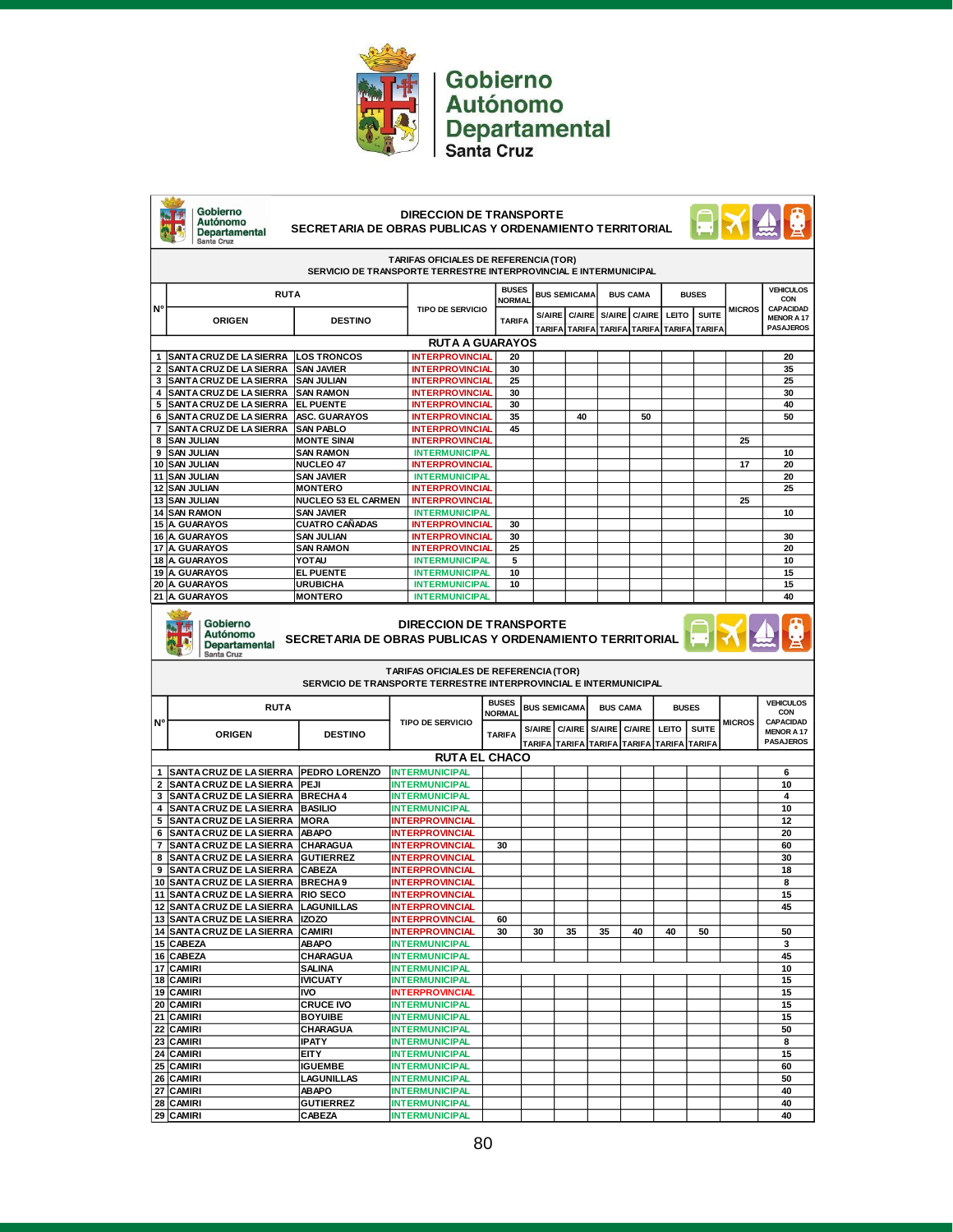

Gobierno<br>Autónomo<br>Departamental **DIRECCION DE TRANSPORTE SECRETARIA DE OBRAS PUBLICAS Y ORDENAMIENTO TERRITORIAL**



|                                                                              |                                                                   | TARIFAS OFICIALES DE REFERENCIA (TOR)            |                               |                                                                          |                                                         |                 |    |              |               |                                                                                          |
|------------------------------------------------------------------------------|-------------------------------------------------------------------|--------------------------------------------------|-------------------------------|--------------------------------------------------------------------------|---------------------------------------------------------|-----------------|----|--------------|---------------|------------------------------------------------------------------------------------------|
|                                                                              | SERVICIO DE TRANSPORTE TERRESTRE INTERPROVINCIAL E INTERMUNICIPAL |                                                  |                               |                                                                          |                                                         |                 |    |              |               |                                                                                          |
| <b>RUTA</b>                                                                  |                                                                   |                                                  | <b>BUSES</b><br><b>NORMAL</b> | <b>BUS SEMICAMA</b>                                                      |                                                         | <b>BUS CAMA</b> |    | <b>BUSES</b> |               | <b>VEHICULOS</b><br><b>CON</b>                                                           |
| <b>ORIGEN</b>                                                                | <b>DESTINO</b>                                                    | <b>TIPO DE SERVICIO</b>                          | <b>TARIFA</b>                 | S/AIRE C/AIRE S/AIRE C/AIRE<br>TARIFA TARIFA TARIFA TARIFA TARIFA TARIFA |                                                         |                 |    | LEITO SUITE  | <b>MICROS</b> | <b>CAPACIDAD</b><br><b>MENOR A17</b><br><b>PASAJEROS</b>                                 |
|                                                                              |                                                                   | <b>RUTA A GUARAYOS</b>                           |                               |                                                                          |                                                         |                 |    |              |               |                                                                                          |
| 1 SANTA CRUZ DE LA SIERRA LOS TRONCOS                                        |                                                                   | <b>INTERPROVINCIAL</b>                           | 20                            |                                                                          |                                                         |                 |    |              |               | 20                                                                                       |
| 2 SANTA CRUZ DE LA SIERRA SAN JAVIER                                         |                                                                   | <b>INTERPROVINCIAL</b>                           | 30                            |                                                                          |                                                         |                 |    |              |               | 35                                                                                       |
| 3 SANTA CRUZ DE LA SIERRA SAN JULIAN                                         |                                                                   | <b>INTERPROVINCIA</b>                            | 25                            |                                                                          |                                                         |                 |    |              |               | 25                                                                                       |
| 4 SANTA CRUZ DE LA SIERRA SAN RAMON                                          |                                                                   | <b>INTERPROVINCIA</b>                            | 30                            |                                                                          |                                                         |                 |    |              |               | 30                                                                                       |
| 5 SANTA CRUZ DE LA SIERRA EL PUENTE                                          |                                                                   | INTERPROVINCIAI                                  | 30                            |                                                                          |                                                         |                 |    |              |               | 40                                                                                       |
| 6 SANTA CRUZ DE LA SIERRA ASC. GUARAYOS                                      |                                                                   | <b>INTERPROVINCIAL</b>                           | 35                            |                                                                          | 40                                                      |                 | 50 |              |               | 50                                                                                       |
| 7 SANTA CRUZ DE LA SIERRA SAN PABLO                                          |                                                                   | <b>NTERPROVINCIAL</b>                            | 45                            |                                                                          |                                                         |                 |    |              |               |                                                                                          |
| 8 SAN JULIAN                                                                 | <b>MONTE SINAL</b>                                                | <b>INTERPROVINCIA</b>                            |                               |                                                                          |                                                         |                 |    |              | 25            |                                                                                          |
| 9 SAN JULIAN<br>10 SAN JULIAN                                                | <b>SAN RAMON</b>                                                  | <b>INTERMUNICIPAL</b>                            |                               |                                                                          |                                                         |                 |    |              |               | 10                                                                                       |
| 11 SAN JULIAN                                                                | NUCLEO 47<br><b>SAN JAVIER</b>                                    | <b>INTERPROVINCIAL</b><br><b>INTERMUNICIPAL</b>  |                               |                                                                          |                                                         |                 |    |              | 17            | 20<br>20                                                                                 |
| 12 SAN JULIAN                                                                | <b>MONTERO</b>                                                    | INTERPROVINCIAI                                  |                               |                                                                          |                                                         |                 |    |              |               | 25                                                                                       |
|                                                                              |                                                                   | <b>INTERPROVINCIAL</b>                           |                               |                                                                          |                                                         |                 |    |              | 25            |                                                                                          |
| 13 SAN JULIAN<br><b>14 SAN RAMON</b>                                         | <b>NUCLEO 53 EL CARMEN</b><br><b>SAN JAVIER</b>                   | <b>INTERMUNICIPAL</b>                            |                               |                                                                          |                                                         |                 |    |              |               | 10                                                                                       |
| 15 A GUARAYOS                                                                | <b>CUATRO CAÑADAS</b>                                             | <b>NTERPROVINCIAL</b>                            | 30                            |                                                                          |                                                         |                 |    |              |               |                                                                                          |
| 16 A. GUARAYOS                                                               | <b>SAN JULIAN</b>                                                 | <b>INTERPROVINCIAL</b>                           | 30                            |                                                                          |                                                         |                 |    |              |               | 30                                                                                       |
| 17 A. GUARAYOS                                                               | <b>SAN RAMON</b>                                                  | <b>INTERPROVINCIAL</b>                           | 25                            |                                                                          |                                                         |                 |    |              |               | 20                                                                                       |
| 18 A GUARAYOS                                                                | <b>TOTAU</b>                                                      | <b>INTERMUNICIPAL</b>                            | 5                             |                                                                          |                                                         |                 |    |              |               | 10                                                                                       |
| 19 A. GUARAYOS                                                               | <b>EL PUENTE</b>                                                  | <b>INTERMUNICIPAL</b>                            | 10                            |                                                                          |                                                         |                 |    |              |               | 15                                                                                       |
| 20 A GUARAYOS                                                                | <b>URUBICHA</b>                                                   | <b>INTERMUNICIPAL</b>                            | 10                            |                                                                          |                                                         |                 |    |              |               | 15                                                                                       |
| 21 A GUARAYOS                                                                | <b>MONTERO</b>                                                    | <b>INTERMUNICIPAL</b>                            |                               |                                                                          |                                                         |                 |    |              |               | 40                                                                                       |
| Santa Cruz                                                                   |                                                                   |                                                  |                               |                                                                          | SECRETARIA DE OBRAS PUBLICAS Y ORDENAMIENTO TERRITORIAL |                 |    |              |               |                                                                                          |
|                                                                              |                                                                   | TARIFAS OFICIALES DE REFERENCIA (TOR)            |                               |                                                                          |                                                         |                 |    |              |               |                                                                                          |
|                                                                              | SERVICIO DE TRANSPORTE TERRESTRE INTERPROVINCIAL E INTERMUNICIPAL |                                                  |                               |                                                                          |                                                         |                 |    |              |               |                                                                                          |
| <b>RUTA</b>                                                                  |                                                                   | TIPO DE SERVICIO                                 | <b>BUSES</b><br><b>NORMAL</b> | <b>BUS SEMICAMA</b><br>S/AIRE C/AIRE S/AIRE C/AIRE LEITO SUITE           |                                                         | <b>BUS CAMA</b> |    | <b>BUSES</b> | <b>MICROS</b> |                                                                                          |
|                                                                              | <b>DESTINO</b>                                                    |                                                  | <b>TARIFA</b>                 | TARIFA TARIFA TARIFA TARIFA TARIFA TARIFA                                |                                                         |                 |    |              |               |                                                                                          |
| <b>ORIGEN</b>                                                                |                                                                   | <b>RUTA EL CHACO</b>                             |                               |                                                                          |                                                         |                 |    |              |               |                                                                                          |
| 1 SANTA CRUZ DE LA SIERRA PEDRO LORENZO INTERMUNICIPAL                       |                                                                   |                                                  |                               |                                                                          |                                                         |                 |    |              |               | 6                                                                                        |
| 2 SANTA CRUZ DE LA SIERRA PEJI                                               |                                                                   | <b>NTERMUNICIPAL</b>                             |                               |                                                                          |                                                         |                 |    |              |               |                                                                                          |
| 3 SANTA CRUZ DE LA SIERRA BRECHA 4                                           |                                                                   | NTERMUNICIPAL                                    |                               |                                                                          |                                                         |                 |    |              |               |                                                                                          |
| 4 SANTA CRUZ DE LA SIERRA BASILIO                                            |                                                                   | <b>INTERMUNICIPAL</b>                            |                               |                                                                          |                                                         |                 |    |              |               |                                                                                          |
| 5 SANTA CRUZ DE LA SIERRA MORA                                               |                                                                   | <b>INTERPROVINCIAL</b>                           |                               |                                                                          |                                                         |                 |    |              |               | 10<br>$\overline{4}$<br>10<br>12                                                         |
| 6 SANTA CRUZ DE LA SIERRA ABAPO                                              |                                                                   | <b>INTERPROVINCIAL</b>                           |                               |                                                                          |                                                         |                 |    |              |               |                                                                                          |
| 7 SANTA CRUZ DE LA SIERRA CHARAGUA                                           |                                                                   | <b>INTERPROVINCIAL</b>                           | 30                            |                                                                          |                                                         |                 |    |              |               | <b>CON</b><br>20<br>60                                                                   |
| 8 SANTA CRUZ DE LA SIERRA GUTIERREZ                                          |                                                                   | <b>INTERPROVINCIAL</b>                           |                               |                                                                          |                                                         |                 |    |              |               | 30                                                                                       |
| 9 SANTA CRUZ DE LA SIERRA CABEZA<br>10 SANTA CRUZ DE LA SIERRA BRECHA 9      |                                                                   | <b>INTERPROVINCIAL</b><br><b>INTERPROVINCIAL</b> |                               |                                                                          |                                                         |                 |    |              |               | 18<br>8                                                                                  |
|                                                                              |                                                                   | <b>INTERPROVINCIAL</b>                           |                               |                                                                          |                                                         |                 |    |              |               |                                                                                          |
| 11 SANTA CRUZ DE LA SIERRA RIO SECO<br>12 SANTA CRUZ DE LA SIERRA LAGUNILLAS |                                                                   | <b>INTERPROVINCIAL</b>                           |                               |                                                                          |                                                         |                 |    |              |               | <b>VEHICULOS</b><br><b>CAPACIDAD</b><br><b>MENOR A17</b><br><b>PASAJEROS</b><br>15<br>45 |
| 13 SANTA CRUZ DE LA SIERRA IZOZO                                             |                                                                   | <b>INTERPROVINCIAL</b>                           | 60                            |                                                                          |                                                         |                 |    |              |               |                                                                                          |
| 14 SANTA CRUZ DE LA SIERRA CAMIRI                                            |                                                                   | <b>INTERPROVINCIAL</b>                           | 30                            | 30 35 35 40                                                              |                                                         |                 |    | 40           | 50            | 50                                                                                       |
| 15 CABEZA                                                                    | ABAPO                                                             | <b>INTERMUNICIPAL</b>                            |                               |                                                                          |                                                         |                 |    |              |               | $\mathbf{3}$                                                                             |
| 16 CABEZA                                                                    | CHARAGUA                                                          | <b>NTERMUNICIPAL</b>                             |                               |                                                                          |                                                         |                 |    |              |               | 45                                                                                       |
| 17 CAMIRI                                                                    | SALINA                                                            | <b>INTERMUNICIPAL</b>                            |                               |                                                                          |                                                         |                 |    |              |               | 10                                                                                       |
| 18 CAMIRI                                                                    | <b>IVICUATY</b>                                                   | <b>INTERMUNICIPAL</b>                            |                               |                                                                          |                                                         |                 |    |              |               | 15                                                                                       |
| 19 CAMIRI                                                                    | Ivo                                                               | <b>NTERPROVINCIAL</b>                            |                               |                                                                          |                                                         |                 |    |              |               | 15                                                                                       |
| 20 CAMIRI                                                                    | <b>CRUCE IVO</b>                                                  | <b>INTERMUNICIPAL</b>                            |                               |                                                                          |                                                         |                 |    |              |               | 15                                                                                       |
|                                                                              | <b>BOYUIBE</b>                                                    | <b>INTERMUNICIPAL</b>                            |                               |                                                                          |                                                         |                 |    |              |               |                                                                                          |
|                                                                              | <b>CHARAGUA</b>                                                   | <b>INTERMUNICIPAL</b>                            |                               |                                                                          |                                                         |                 |    |              |               |                                                                                          |
|                                                                              | <b>IPATY</b>                                                      | <b>INTERMUNICIPAL</b>                            |                               |                                                                          |                                                         |                 |    |              |               | 15<br>50<br>8                                                                            |
| 21 CAMIRI<br>22 CAMIRI<br>23 CAMIRI<br>24 CAMIRI                             | <b>EITY</b>                                                       | <b>INTERMUNICIPAL</b>                            |                               |                                                                          |                                                         |                 |    |              |               | 15                                                                                       |
| 25 CAMIRI                                                                    | <b>IGUEMBE</b>                                                    | <b>INTERMUNICIPAL</b>                            |                               |                                                                          |                                                         |                 |    |              |               | 60                                                                                       |
|                                                                              | LAGUNILLAS                                                        | <b>INTERMUNICIPAL</b>                            |                               |                                                                          |                                                         |                 |    |              |               | 50                                                                                       |
|                                                                              | <b>ABAPO</b>                                                      | <b>NTERMUNICIPAL</b>                             |                               |                                                                          |                                                         |                 |    |              |               | 40                                                                                       |
| 26 CAMIRI<br>27 CAMIRI<br>28 CAMIRI<br>29 CAMIRI                             | <b>GUTIERREZ</b><br><b>CABEZA</b>                                 | <b>NTERMUNICIPAL</b><br><b>INTERMUNICIPAL</b>    |                               |                                                                          |                                                         |                 |    |              |               | 40<br>40                                                                                 |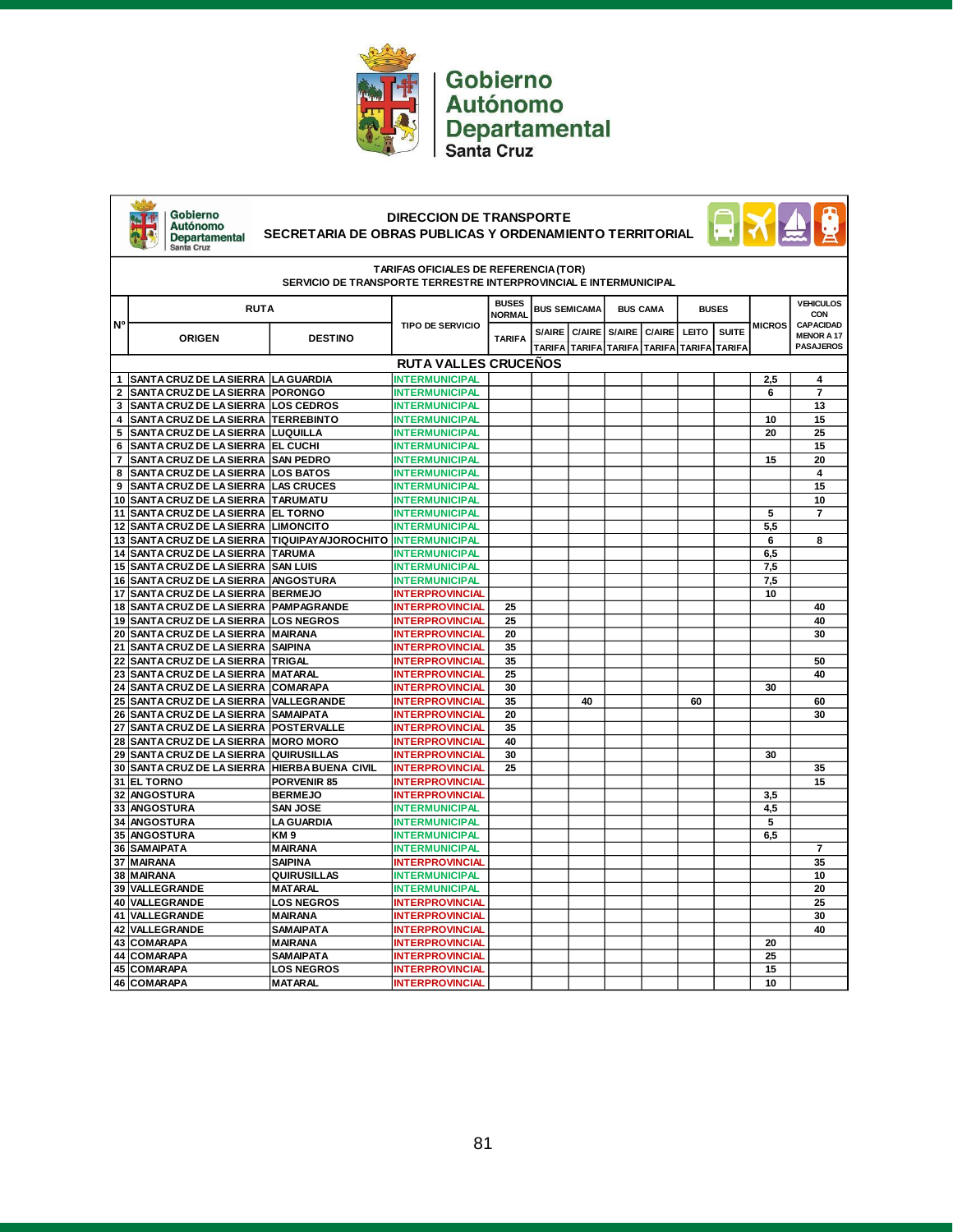



**DIRECCION DE TRANSPORTE SECRETARIA DE OBRAS PUBLICAS Y ORDENAMIENTO TERRITORIAL**



|    | TARIFAS OFICIALES DE REFERENCIA (TOR)<br>SERVICIO DE TRANSPORTE TERRESTRE INTERPROVINCIAL E INTERMUNICIPAL |                          |                             |               |                     |               |                                    |               |               |              |               |                                                          |  |
|----|------------------------------------------------------------------------------------------------------------|--------------------------|-----------------------------|---------------|---------------------|---------------|------------------------------------|---------------|---------------|--------------|---------------|----------------------------------------------------------|--|
|    |                                                                                                            | <b>RUTA</b>              |                             |               | <b>BUS SEMICAMA</b> |               | <b>BUS CAMA</b>                    |               | <b>BUSES</b>  |              |               | <b>VEHICULOS</b><br>CON                                  |  |
| N° | <b>ORIGEN</b>                                                                                              | <b>DESTINO</b>           | <b>TIPO DE SERVICIO</b>     | <b>TARIFA</b> |                     | S/AIRE C/AIRE |                                    | S/AIRE C/AIRE | LEITO         | <b>SUITE</b> | <b>MICROS</b> | <b>CAPACIDAD</b><br><b>MENOR A17</b><br><b>PASAJEROS</b> |  |
|    |                                                                                                            |                          |                             |               |                     |               | TARIFA TARIFA TARIFA TARIFA TARIFA |               | <b>TARIFA</b> |              |               |                                                          |  |
|    |                                                                                                            |                          | <b>RUTA VALLES CRUCENOS</b> |               |                     |               |                                    |               |               |              |               |                                                          |  |
|    | 1 SANTA CRUZ DE LA SIERRA LA GUARDIA                                                                       |                          | <b>INTERMUNICIPAL</b>       |               |                     |               |                                    |               |               |              | 2,5           | 4                                                        |  |
|    | <b>SANTA CRUZ DE LA SIERRA PORONGO</b>                                                                     |                          | <b>INTERMUNICIPAL</b>       |               |                     |               |                                    |               |               |              | 6             | $\overline{7}$                                           |  |
| 3  | <b>SANTA CRUZ DE LA SIERRA LOS CEDROS</b>                                                                  |                          | <b>INTERMUNICIPAL</b>       |               |                     |               |                                    |               |               |              |               | 13                                                       |  |
| 4  | <b>SANTA CRUZ DE LA SIERRA TERREBINTO</b>                                                                  |                          | <b>INTERMUNICIPAL</b>       |               |                     |               |                                    |               |               |              | 10            | 15                                                       |  |
| 5  | SANTA CRUZ DE LA SIERRA LUQUILLA                                                                           |                          | <b>INTERMUNICIPAL</b>       |               |                     |               |                                    |               |               |              | 20            | 25                                                       |  |
| 6  | SANTA CRUZ DE LA SIERRA EL CUCHI                                                                           |                          | <b>INTERMUNICIPAL</b>       |               |                     |               |                                    |               |               |              |               | 15                                                       |  |
| 7  | <b>SANTA CRUZ DE LA SIERRA SAN PEDRO</b>                                                                   |                          | <b>INTERMUNICIPAL</b>       |               |                     |               |                                    |               |               |              | 15            | 20                                                       |  |
| 8  | <b>SANTA CRUZ DE LA SIERRA LOS BATOS</b>                                                                   |                          | <b>INTERMUNICIPAL</b>       |               |                     |               |                                    |               |               |              |               | 4                                                        |  |
| 9  | <b>SANTA CRUZ DE LA SIERRA LAS CRUCES</b>                                                                  |                          | <b>INTERMUNICIPAL</b>       |               |                     |               |                                    |               |               |              |               | 15                                                       |  |
| 10 | SANTA CRUZ DE LA SIERRA TARUMATU                                                                           |                          | <b>INTERMUNICIPAL</b>       |               |                     |               |                                    |               |               |              |               | 10                                                       |  |
|    | 11 SANTA CRUZ DE LA SIERRA EL TORNO                                                                        |                          | <b>INTERMUNICIPAL</b>       |               |                     |               |                                    |               |               |              | 5             | $\overline{7}$                                           |  |
|    | 12 SANTA CRUZ DE LA SIERRA LIMONCITO                                                                       |                          | <b>INTERMUNICIPAL</b>       |               |                     |               |                                    |               |               |              | 5,5           |                                                          |  |
|    | 13 SANTA CRUZ DE LA SIERRA TIQUIPAYAJOROCHITO                                                              |                          | <b>INTERMUNICIPAL</b>       |               |                     |               |                                    |               |               |              | 6             | 8                                                        |  |
|    | 14 SANTA CRUZ DE LA SIERRA TARUMA                                                                          |                          | <b>INTERMUNICIPAL</b>       |               |                     |               |                                    |               |               |              | 6,5           |                                                          |  |
|    | 15 SANTA CRUZ DE LA SIERRA SAN LUIS                                                                        |                          | <b>INTERMUNICIPAL</b>       |               |                     |               |                                    |               |               |              | 7,5           |                                                          |  |
|    | 16 SANTA CRUZ DE LA SIERRA ANGOSTURA                                                                       |                          | <b>INTERMUNICIPAL</b>       |               |                     |               |                                    |               |               |              | 7,5           |                                                          |  |
|    | 17 SANTA CRUZ DE LA SIERRA BERMEJO                                                                         |                          | <b>INTERPROVINCIAL</b>      |               |                     |               |                                    |               |               |              | 10            |                                                          |  |
|    | 18 SANTA CRUZ DE LA SIERRA PAMPAGRANDE                                                                     |                          | <b>INTERPROVINCIAL</b>      | 25            |                     |               |                                    |               |               |              |               | 40                                                       |  |
|    | 19 SANTA CRUZ DE LA SIERRA LOS NEGROS                                                                      |                          | <b>INTERPROVINCIAL</b>      | 25            |                     |               |                                    |               |               |              |               | 40                                                       |  |
|    | 20 SANTA CRUZ DE LA SIERRA MARANA                                                                          |                          | <b>INTERPROVINCIAL</b>      | 20            |                     |               |                                    |               |               |              |               | 30                                                       |  |
|    | 21 SANTA CRUZ DE LA SIERRA SAIPINA                                                                         |                          | INTERPROVINCIAL             | 35            |                     |               |                                    |               |               |              |               |                                                          |  |
|    | 22 SANTA CRUZ DE LA SIERRA TRIGAL                                                                          |                          | <b>INTERPROVINCIAL</b>      | 35            |                     |               |                                    |               |               |              |               | 50                                                       |  |
|    | 23 SANTA CRUZ DE LA SIERRA MATARAL                                                                         |                          | INTERPROVINCIAL             | 25            |                     |               |                                    |               |               |              |               | 40                                                       |  |
|    | 24 SANTA CRUZ DE LA SIERRA COMARAPA                                                                        |                          | <b>INTERPROVINCIAL</b>      | 30            |                     |               |                                    |               |               |              | 30            |                                                          |  |
|    | 25 SANTA CRUZ DE LA SIERRA VALLEGRANDE                                                                     |                          | <b>INTERPROVINCIAL</b>      | 35            |                     | 40            |                                    |               | 60            |              |               | 60                                                       |  |
|    | 26 SANTA CRUZ DE LA SIERRA SAMAIPATA                                                                       |                          | <b>INTERPROVINCIAL</b>      | 20            |                     |               |                                    |               |               |              |               | 30                                                       |  |
|    | 27 SANTA CRUZ DE LA SIERRA POSTERVALLE                                                                     |                          | <b>INTERPROVINCIAL</b>      | 35            |                     |               |                                    |               |               |              |               |                                                          |  |
|    | 28 SANTA CRUZ DE LA SIERRA MORO MORO                                                                       |                          | <b>INTERPROVINCIAL</b>      | 40            |                     |               |                                    |               |               |              |               |                                                          |  |
|    | 29 SANTA CRUZ DE LA SIERRA QUIRUSILLAS                                                                     |                          | <b>INTERPROVINCIAL</b>      | 30            |                     |               |                                    |               |               |              | 30            |                                                          |  |
|    | 30 SANTA CRUZ DE LA SIERRA                                                                                 | <b>HIERBABUENA CIVIL</b> | <b>INTERPROVINCIAL</b>      | 25            |                     |               |                                    |               |               |              |               | 35                                                       |  |
|    | 31 EL TORNO                                                                                                | <b>PORVENIR 85</b>       | <b>INTERPROVINCIAL</b>      |               |                     |               |                                    |               |               |              |               | 15                                                       |  |
|    | 32 ANGOSTURA                                                                                               | <b>BERMEJO</b>           | <b>INTERPROVINCIAL</b>      |               |                     |               |                                    |               |               |              | 3,5           |                                                          |  |
|    | 33 ANGOSTURA                                                                                               | <b>SAN JOSE</b>          | <b>INTERMUNICIPAL</b>       |               |                     |               |                                    |               |               |              | 4,5           |                                                          |  |
|    | 34 ANGOSTURA                                                                                               | <b>LA GUARDIA</b>        | <b>INTERMUNICIPAL</b>       |               |                     |               |                                    |               |               |              | 5             |                                                          |  |
|    | 35 ANGOSTURA                                                                                               | KM 9                     | <b>INTERMUNICIPAL</b>       |               |                     |               |                                    |               |               |              | 6,5           |                                                          |  |
|    | 36 SAMAPATA                                                                                                | <b>MARANA</b>            | <b>INTERMUNICIPAL</b>       |               |                     |               |                                    |               |               |              |               | $\overline{7}$                                           |  |
|    | 37 MARANA                                                                                                  | <b>SAIPINA</b>           | <b>INTERPROVINCIAL</b>      |               |                     |               |                                    |               |               |              |               | 35                                                       |  |
|    | 38 MARANA                                                                                                  | QUIRUSILLAS              | <b>INTERMUNICIPAL</b>       |               |                     |               |                                    |               |               |              |               | 10                                                       |  |
| 39 | VALLEGRANDE                                                                                                | <b>MATARAL</b>           | <b>INTERMUNICIPAL</b>       |               |                     |               |                                    |               |               |              |               | 20                                                       |  |
|    | 40 VALLEGRANDE                                                                                             | <b>LOS NEGROS</b>        | <b>INTERPROVINCIAL</b>      |               |                     |               |                                    |               |               |              |               | 25                                                       |  |
|    | 41 VALLEGRANDE                                                                                             | <b>MARANA</b>            | <b>INTERPROVINCIAL</b>      |               |                     |               |                                    |               |               |              |               | 30                                                       |  |
|    | 42 VALLEGRANDE                                                                                             | <b>SAMAIPATA</b>         | <b>INTERPROVINCIAL</b>      |               |                     |               |                                    |               |               |              |               | 40                                                       |  |
|    | 43 COMARAPA                                                                                                | <b>MARANA</b>            | <b>INTERPROVINCIAL</b>      |               |                     |               |                                    |               |               |              | 20            |                                                          |  |
|    | 44 COMARAPA                                                                                                | <b>SAMAIPATA</b>         | <b>INTERPROVINCIAL</b>      |               |                     |               |                                    |               |               |              | 25            |                                                          |  |
|    | 45 COMARAPA                                                                                                | <b>LOS NEGROS</b>        | <b>INTERPROVINCIAL</b>      |               |                     |               |                                    |               |               |              | 15            |                                                          |  |
|    | <b>46 COMARAPA</b>                                                                                         | <b>MATARAL</b>           | <b>INTERPROVINCIAL</b>      |               |                     |               |                                    |               |               |              | 10            |                                                          |  |
|    |                                                                                                            |                          |                             |               |                     |               |                                    |               |               |              |               |                                                          |  |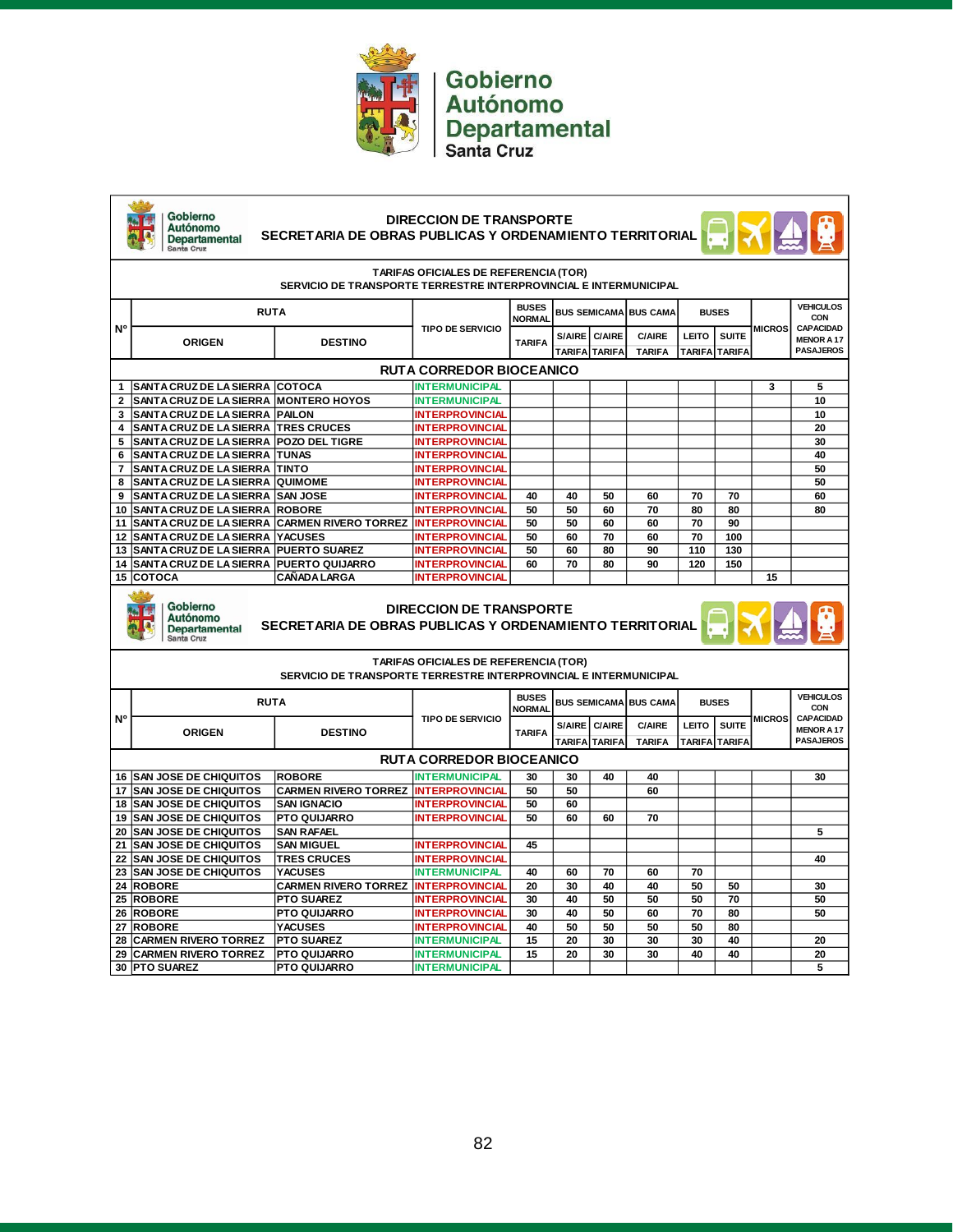